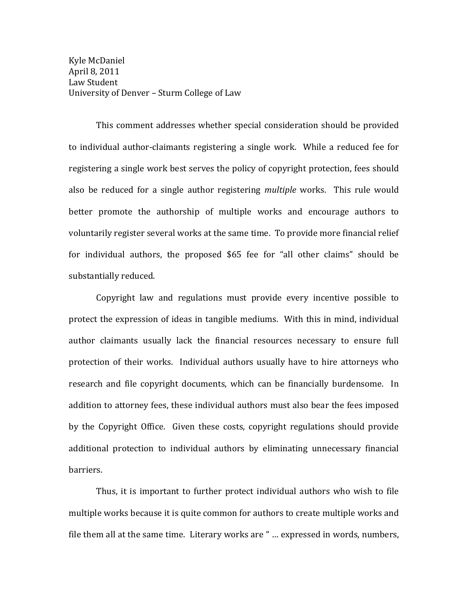Kyle McDaniel April 8, 2011 Law Student University of Denver - Sturm College of Law

This comment addresses whether special consideration should be provided to individual author-claimants registering a single work. While a reduced fee for registering a single work best serves the policy of copyright protection, fees should also be reduced for a single author registering *multiple* works. This rule would better promote the authorship of multiple works and encourage authors to voluntarily register several works at the same time. To provide more financial relief for individual authors, the proposed  $$65$  fee for "all other claims" should be substantially reduced.

Copyright law and regulations must provide every incentive possible to protect the expression of ideas in tangible mediums. With this in mind, individual author claimants usually lack the financial resources necessary to ensure full protection of their works. Individual authors usually have to hire attorneys who research and file copyright documents, which can be financially burdensome. In addition to attorney fees, these individual authors must also bear the fees imposed by the Copyright Office. Given these costs, copyright regulations should provide additional protection to individual authors by eliminating unnecessary financial barriers.

Thus, it is important to further protect individual authors who wish to file multiple works because it is quite common for authors to create multiple works and file them all at the same time. Literary works are " ... expressed in words, numbers,